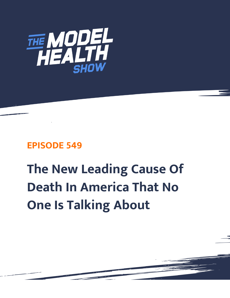

## **EPISODE 549**

## **The New Leading Cause Of Death In America That No One Is Talking About**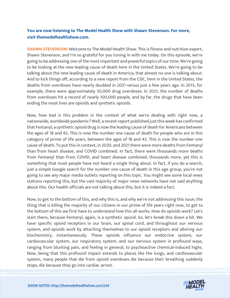## **You are now listening to The Model Health Show with Shawn Stevenson. For more, visit themodelhealthshow.com.**

**SHAWN STEVENSON:** Welcome to The Model Health Show. This is fitness and nutrition expert, Shawn Stevenson, and I'm so grateful for you tuning in with me today. On this episode, we're going to be addressing one of the most important and powerful topics of our time. We're going to be looking at the new leading cause of death here in the United States. We're going to be talking about the new leading cause of death in America, that almost no one is talking about. And to kick things off, according to a new report from the CDC, here in the United States, the deaths from overdoses have nearly doubled in 2021 versus just a few years ago. In 2015, for example, there were approximately 50,000 drug overdoses. In 2021, the number of deaths from overdoses hit a record of nearly 100,000 people, and by far, the drugs that have been ending the most lives are opioids and synthetic opioids.

Now, how bad is this problem in the context of what we're dealing with right now, a nationwide, worldwide pandemic? Well, a recent report published just this week has confirmed that Fentanyl, a synthetic opioid drug is now the leading cause of death for Americans between the ages of 18 and 45. This is now the number one cause of death for people who are in this category of prime of life years, between the ages of 18 and 45. This is now the number one cause of death. To put this in context, in 2020, and 2021 there were more deaths from Fentanyl than from heart disease, and COVID combined. In fact, there were thousands more deaths from Fentanyl than from COVID, and heart disease combined, thousands more, yet this is something that most people have not heard a single thing about. In fact, if you do a search, just a simple Google search for the number one cause of death in this age group, you're not going to see any major media outlets reporting on this topic. You might see some local news stations reporting this, but the vast majority of major news networks have not said anything about this. Our health officials are not talking about this, but it is indeed a fact.

Now, to get to the bottom of this, and why this is, and why we're not addressing this issue, the thing that is killing the majority of our citizens in our prime of life years right now, to get to the bottom of this we first have to understand how this all works. How do opioids work? Let's start there, because Fentanyl, again, is a synthetic opioid. So, let's break this down a bit. We have specific opioid receptors in our brain, our spinal cord, and throughout our nervous system, and opioids work by attaching themselves to our opioid receptors and altering our biochemistry, instantaneously. These opioids influence our endocrine system, our cardiovascular system, our respiratory system, and our nervous system in profound ways, ranging from blunting pain, and feeling in general, to psychoactive chemical-induced highs. Now, being that this profound impact extends to places like the lungs, and cardiovascular system, many people that die from opioid overdoses die because their breathing suddenly [stops, die because they go into cardiac arrest.](https://themodelhealthshow.com/podcasts/cause-of-death-in-america/)

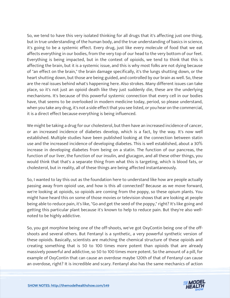So, we tend to have this very isolated thinking for all drugs that it's affecting just one thing, but in true understanding of the human body, and the true understanding of basics in science, it's going to be a systemic effect. Every drug, just like every molecule of food that we eat affects everything in our bodies, from the very top of our head to the very bottom of our feet. Everything is being impacted, but in the context of opioids, we tend to think that this is affecting the brain, but it is a systemic issue, and this is why most folks are not dying because of "an effect on the brain," the brain damage specifically, it's the lungs shutting down, or the heart shutting down, but those are being guided, and controlled by our brain as well. So, these are the real issues behind what's happening here. Also strokes. Many different issues can take place, so it's not just an opioid death like they just suddenly die, these are the underlying mechanisms. It's because of this powerful systemic connection that every cell in our bodies have, that seems to be overlooked in modern medicine today, period, so please understand, when you take any drug, it's not a side effect that you see listed, or you hear on the commercial, it is a direct effect because everything is being influenced.

We might be taking a drug for our cholesterol, but then have an increased incidence of cancer, or an increased incidence of diabetes develop, which is a fact, by the way. It's now well established. Multiple studies have been published looking at the connection between statin use and the increased incidence of developing diabetes. This is well established, about a 30% increase in developing diabetes from being on a statin. The function of our pancreas, the function of our liver, the function of our insulin, and glucagon, and all these other things, you would think that that's a separate thing from what this is targeting, which is blood fats, or cholesterol, but in reality, all of these things are being affected instantaneously.

So, I wanted to lay this out as the foundation here to understand like how are people actually passing away from opioid use, and how is this all connected? Because as we move forward, we're looking at opioids, so opioids are coming from the poppy, so these opium plants. You might have heard this on some of those movies or television shows that are looking at people being able to reduce pain, it's like, "Go and get the seed of the poppy," right? It's like going and getting this particular plant because it's known to help to reduce pain. But they're also wellnoted to be highly addictive.

So, you got morphine being one of the off-shoots, we've got OxyContin being one of the offshoots and several others. But Fentanyl is a synthetic, a very powerful synthetic version of these opioids. Basically, scientists are matching the chemical structure of these opioids and creating something that is 50 to 100 times more potent than opioids that are already massively powerful and addictive, so 50 to 100 times more potent. So the amount of a pill, for example of OxyContin that can cause an overdose maybe 120th of that of Fentanyl can cause [an overdose, right? It is incredible and scary. Fentanyl also has the same mechanics of action](https://themodelhealthshow.com/podcasts/cause-of-death-in-america/) 

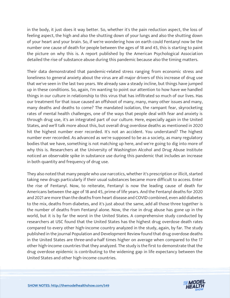in the body, it just does it way better. So, whether it's the pain reduction aspect, the loss of feeling aspect, the high and also the shutting down of your lungs and also the shutting down of your heart and your brain. So, if we're wondering how on earth could Fentanyl now be the number one cause of death for people between the ages of 18 and 45, this is starting to paint the picture on why this is. A report published by the American Psychological Association detailed the rise of substance abuse during this pandemic because also the timing matters.

Their data demonstrated that pandemic-related stress ranging from economic stress and loneliness to general anxiety about the virus are all major drivers of this increase of drug use that we've seen in the last two years. We already saw a steady incline, but things have jumped up in these conditions. So, again, I'm wanting to point our attention to how have we handled things in our culture in relationship to this virus that has infiltrated so much of our lives. Has our treatment for that issue caused an offshoot of many, many, many other issues and many, many deaths and deaths to come? The mandated isolation, the rampant fear, skyrocketing rates of mental health challenges, one of the ways that people deal with fear and anxiety is through drug use, it's an integrated part of our culture. Here, especially again in the United States, and we'll talk more about this, but overall drug overdose deaths as mentioned in 2020 hit the highest number ever recorded. It's not an accident. You understand? The highest number ever recorded. As advanced as we're supposed to be as a society, as many regulatory bodies that we have, something is not matching up here, and we're going to dig into more of why this is. Researchers at the University of Washington Alcohol and Drug Abuse Institute noticed an observable spike in substance use during this pandemic that includes an increase in both quantity and frequency of drug use.

They also noted that many people who use narcotics, whether it's prescription or illicit, started taking new drugs particularly if their usual substances became more difficult to access. Enter the rise of Fentanyl. Now, to reiterate, Fentanyl is now the leading cause of death for Americans between the age of 18 and 45, prime of life years. And the Fentanyl deaths for 2020 and 2021 are more than the deaths from heart disease and COVID combined, even add diabetes to the mix, deaths from diabetes, and it's just about the same, add all those three together is the number of deaths from Fentanyl alone. Now, the rise in drug abuse has gone up in the world, but it is by far the worst in the United States. A comprehensive study conducted by researchers at USC found that the United States has the highest drug overdose death rates compared to every other high-income country analyzed in the study, again, by far. The study published in the journal Population and Development Review found that drug overdose deaths in the United States are three-and-a-half times higher on average when compared to the 17 other high-income countries that they analyzed. The study is the first to demonstrate that the drug overdose epidemic is contributing to the widening gap in life expectancy between the United States and other high-income countries.

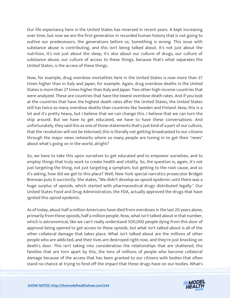Our life expectancy here in the United States has reversed in recent years. It kept increasing over time, but now we are the first generation in recorded human history that is not going to outlive our predecessors, the generations before us. Something is wrong. This issue with substance abuse is contributing, and this isn't being talked about. It's not just about the nutrition, it's not just about the sleep, it's also about our culture of drugs, our culture of substance abuse, our culture of access to these things, because that's what separates the United States, is the access of these things.

Now, for example, drug overdose mortalities here in the United States is now more than 27 times higher than in Italy and Japan, for example. Again, drug overdose deaths in the United States is more than 27 times higher than Italy and Japan. Two other high-income countries that were analyzed. These are countries that have the lowest overdose death rates. And if you look at the countries that have the highest death rates after the United States, the United States still has twice as many overdose deaths than countries like Sweden and Finland. Now, this is a lot and it's pretty heavy, but I believe that we can change this. I believe that we can turn the ship around. But we have to get educated, we have to have these conversations. And unfortunately, they said this as one of those statements that's just kind of a part of our culture, that the revolution will not be televised, this is literally not getting broadcasted to our citizens through the major news networks where so many people are tuning in to get their "news" about what's going on in the world, alright?

So, we have to take this upon ourselves to get educated and to empower ourselves, and to employ things that truly work to create health and vitality. So, the question is, again, it's not just targeting the thing, not just targeting a symptom, but getting to the root cause, and so it's asking, how did we get to this place? Well, New York special narcotics prosecutor Bridget Brennan puts it succinctly. She states, "We didn't develop an opioid epidemic until there was a huge surplus of opioids, which started with pharmaceutical drugs distributed legally." Our United States Food and Drug Administration, the FDA, actually approved the drugs that have ignited this opioid epidemic.

As of today, about half a million Americans have died from overdoses in the last 20 years alone, primarily from these opioids, half a million people. Now, what isn't talked about in that number, which is astronomical, like we can't really understand 500,000 people dying from this door of approval being opened to get access to these opioids, but what isn't talked about is all of the other collateral damage that takes place. What isn't talked about are the millions of other people who are addicted, and their lives are destroyed right now, and they're just knocking on death's door. This isn't taking into consideration the relationships that are shattered, the families that are torn apart by this, the tens of millions of people who become collateral damage because of the access that has been granted to our citizens with bodies that often [stand no chance at trying to fend off the impact that these drugs have on](https://themodelhealthshow.com/podcasts/cause-of-death-in-america/) our bodies. What's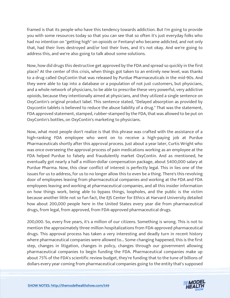framed is that its people who have this tendency towards addiction. But I'm going to provide you with some resources today so that you can see that so often it's just everyday folks who had no intention on "getting high" on opioids or Fentanyl who became addicted, and not only that, had their lives destroyed and/or lost their lives, and it's not okay. And we're going to address this, and we're also going to talk about some solutions.

Now, how did drugs this destructive get approved by the FDA and spread so quickly in the first place? At the center of this crisis, when things got taken to an entirely new level, was thanks to a drug called OxyContin that was released by Purdue Pharmaceuticals in the mid-90s. And they were able to tap into a database or a population of not just customers, but physicians, and a whole network of physicians, to be able to prescribe these very powerful, very addictive opioids, because they intentionally aimed at physicians, and they utilized a single sentence on OxyContin's original product label. This sentence stated, "Delayed absorption as provided by Oxycontin tablets is believed to reduce the abuse liability of a drug." That was the statement, FDA approved statement, stamped, rubber-stamped by the FDA, that was allowed to be put on OxyContin's bottles, on OxyContin's marketing to physicians.

Now, what most people don't realize is that this phrase was crafted with the assistance of a high-ranking FDA employee who went on to receive a high-paying job at Purdue Pharmaceuticals shortly after this approval process. Just about a year later, Curtis Wright who was once overseeing the approval process of pain medications working as an employee at the FDA helped Purdue to falsely and fraudulently market OxyContin. And as mentioned, he eventually got nearly a half a million-dollar compensation package, about \$400,000 salary at Purdue Pharma. Now, this clear conflict of interest is perfectly legal. This in lies one of the issues for us to address, for us to no longer allow this to even be a thing. There's this revolving door of employees leaving from pharmaceutical companies and working at the FDA and FDA employees leaving and working at pharmaceutical companies, and all this insider information on how things work, being able to bypass things, loopholes, and the public is the victim because another little not so fun fact, the EJS Center for Ethics at Harvard University detailed how about 200,000 people here in the United States every year die from pharmaceutical drugs, from legal, from approved, from FDA-approved pharmaceutical drugs.

200,000. So, every five years, it's a million of our citizens. Something is wrong. This is not to mention the approximately three million hospitalizations from FDA-approved pharmaceutical drugs. This approval process has taken a very interesting and deadly turn in recent history where pharmaceutical companies were allowed to... Some changing happened, this is the first step, changes in litigation, changes in policy, changes through our government allowing pharmaceutical companies to begin funding the FDA. Pharmaceutical companies make up about 75% of the FDA's scientific review budget, they're funding that to the tune of billions of [dollars every year coming from pharmaceutical companies going to](https://themodelhealthshow.com/podcasts/cause-of-death-in-america/) the entity that's supposed

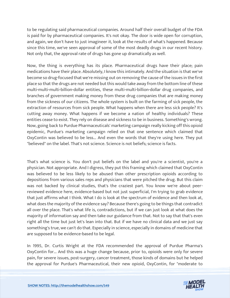to be regulating said pharmaceutical companies. Around half their overall budget of the FDA is paid for by pharmaceutical companies. It's not okay. The door is wide open for corruption, and again, we don't have to just imagineer it, look at the results of what's happened. Because since this time, we've seen approval of some of the most deadly drugs in our recent history. Not only that, the approval rate of drugs has gone up dramatically as well.

Now, the thing is everything has its place. Pharmaceutical drugs have their place; pain medications have their place. Absolutely, I know this intimately. And the situation is that we've become so drug-focused that we're missing out on removing the cause of the issues in the first place so that the drugs are not needed but this would take away from the bottom line of these multi-multi-multi-billion-dollar entities, these multi-multi-billion-dollar drug companies, and branches of government making money from these drug companies that are making money from the sickness of our citizens. The whole system is built on the farming of sick people, the extraction of resources from sick people. What happens when there are less sick people? It's cutting away money. What happens if we become a nation of healthy individuals? These entities cease to exist. They rely on disease and sickness to be in business. Something's wrong. Now, going back to Purdue Pharmaceuticals' marketing campaign really kicking off this opioid epidemic, Purdue's marketing campaign relied on that one sentence which claimed that OxyContin was believed to be less... And even the words that they're using here. They put "believed" on the label. That's not science. Science is not beliefs; science is facts.

That's what science is. You don't put beliefs on the label and you're a scientist, you're a physician. Not appropriate. And I digress, they put this framing which claimed that OxyContin was believed to be less likely to be abused than other prescription opioids according to depositions from various sales reps and physicians that were pitched the drug. But this claim was not backed by clinical studies, that's the craziest part. You know we're about peerreviewed evidence here, evidence-based but not just superficial, I'm trying to grab evidence that just affirms what I think. What I do is look at the spectrum of evidence and then look at, what does the majority of the evidence say? Because there's going to be things that contradict all over the place. That's what life is, contradictions, but if we can just look at what does the majority of information say and then take our guidance from that. Not to say that that's even right all the time but just let's lean into that. But if we have no clinical data and we just say something's true, we can't do that. Especially in science, especially in domains of medicine that are supposed to be evidence-based to be legal.

In 1995, Dr. Curtis Wright at the FDA recommended the approval of Purdue Pharma's OxyContin for... And this was a huge change because, prior to, opioids were only for severe pain, for severe issues, post-surgery, cancer treatment, those kinds of domains but he helped [the approval for Purdue](https://themodelhealthshow.com/podcasts/cause-of-death-in-america/)'[s Pharmaceutical, their new opioid, OxyContin, for "moderate to](https://themodelhealthshow.com/podcasts/cause-of-death-in-america/)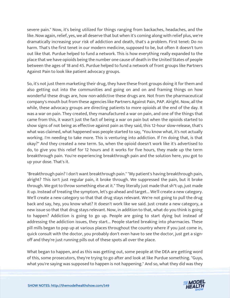severe pain." Now, it's being utilized for things ranging from backaches, headaches, and the like. Now again, relief, yes, we all deserve that but when it's coming along with relief plus, we're dramatically increasing your risk of addiction and death, that's a problem. First tenet: Do no harm. That's the first tenet in our modern medicine, supposed to be, but often it doesn't turn out like that. Purdue helped to fund a network. This is how everything really expanded to the place that we have opioids being the number one cause of death in the United States of people between the ages of 18 and 45. Purdue helped to fund a network of front groups like Partners Against Pain to look like patient advocacy groups.

So, it's not just them marketing their drug, they have these front groups doing it for them and also getting out into the communities and going on and on and framing things on how wonderful these drugs are, how non-addictive these drugs are. Not from the pharmaceutical company's mouth but from these agencies like Partners Against Pain, PAP. Alright. Now, all the while, these advocacy groups are directing patients to more opioids at the end of the day. It was a war on pain. They created, they manufactured a war on pain, and one of the things that came from this, it wasn't just the fact of being a war on pain but when the opioids started to show signs of not being as effective against pain as they said, this 12-hour slow-release, that's what was claimed, what happened was people started to say, "You know what, it's not actually working. I'm needing to take more. This is venturing into addiction. If I'm doing that, is that okay?" And they created a new term. So, when the opioid doesn't work like it's advertised to do, to give you this relief for 12 hours and it works for five hours, they made up the term breakthrough pain. You're experiencing breakthrough pain and the solution here, you got to up your dose. That's it.

"Breakthrough pain? I don't want breakthrough pain." "My patient's having breakthrough pain, alright? This isn't just regular pain, it broke through. We suppressed the pain, but it broke through. We got to throw something else at it." They literally just made that sh\*t up, just made it up. Instead of treating the symptom, let's go ahead and target... We'll create a new category. We'll create a new category so that that drug stays relevant. We're not going to pull the drug back and say, hey, you know what? It doesn't work like we said. Just create a new category, a new issue so that that drug stays relevant. Now, in addition to that, what do you think is going to happen? Addiction is going to go up. People are going to start dying but instead of addressing the addiction issues, they start... People started breaking into pharmacies. These pill mills began to pop up at various places throughout the country where if you just come in, quick consult with the doctor, you probably don't even have to see the doctor, just get a signoff and they're just running pills out of these spots all over the place.

What began to happen, and as this was getting out, some people at the DEA are getting word of this, some prosecutors, they're trying to go after and look at like Purdue something. "Guys, [what you](https://themodelhealthshow.com/podcasts/cause-of-death-in-america/)'[re saying was supposed to happen is not happening." And so, what they did was they](https://themodelhealthshow.com/podcasts/cause-of-death-in-america/) 

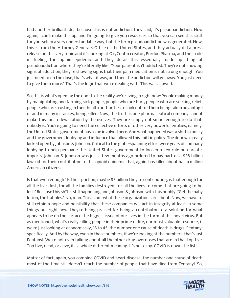had another brilliant idea because this is not addiction, they said, it's pseudoaddiction. Now again, I can't make this up, and I'm going to give you resources so that you can see this stuff for yourself in a very understandable way, but the term pseudoaddiction was generated. Now, this is from the Attorney General's Office of the United States, and they actually did a press release on this very topic and it's looking at OxyContin creator, Purdue Pharma, and their role in fueling the opioid epidemic and they detail this essentially made up thing of pseudoaddiction where they're literally like, "Your patient isn't addicted. They're not showing signs of addiction, they're showing signs that their pain medication is not strong enough. You just need to up the dose, that's what it was, and then the addiction will go away. You just need to give them more." That's the logic that we're dealing with. This was allowed.

So, this is what's opening the door to the reality we're living in right now: People making money by manipulating and farming sick people, people who are hurt, people who are seeking relief, people who are trusting in their health authorities to look out for them being taken advantage of and in many instances, being killed. Now, the truth is one pharmaceutical company cannot make this much devastation by themselves. They are simply not smart enough to do that, nobody is. You're going to need the collective efforts of other very powerful entities, namely, the United States government has to be involved here. And what happened was a shift in policy and the government lobbying and influence that allowed this shift in policy. The door was really kicked open by Johnson & Johnson. Critical to the globe-spanning effort were years of company lobbying to help persuade the United States government to loosen a key rule on narcotic imports. Johnson & Johnson was just a few months ago ordered to pay part of a \$26 billion lawsuit for their contribution to this opioid epidemic that, again, has killed about half a million American citizens.

Is that even enough? Is their portion, maybe \$5 billion they're contributing, is that enough for all the lives lost, for all the families destroyed, for all the lives to come that are going to be lost? Because this sh\*t is still happening and Johnson & Johnson with this bubbly, "Get the baby lotion, the bubbles." No, man. This is not what these organizations are about. Now, we have to still retain a hope and possibility that these companies will act in integrity at least in some things but right now, they're being praised for being a contributor to a solution for what appears to be on the surface the biggest issue of our lives in the form of this novel virus. But as mentioned, what's really killing people in their prime of life, our most valuable resource, if we're just looking at economically, 18 to 45, the number one cause of death is drugs, Fentanyl specifically. And by the way, even in those numbers, if we're looking at the numbers, that's just Fentanyl. We're not even talking about all the other drug overdoses that are in that top five. Top five, dead, or alive, it's a whole different meaning. It's not okay. COVID is down the list.

Matter of fact, again, you combine COVID and heart disease, the number one cause of death [most of the time still doesn](https://themodelhealthshow.com/podcasts/cause-of-death-in-america/)'[t reach the number of people that have died from Fentanyl. So,](https://themodelhealthshow.com/podcasts/cause-of-death-in-america/) 

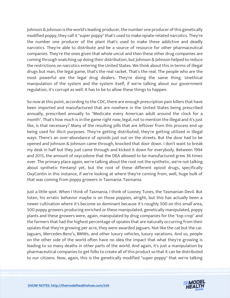Johnson & Johnson is the world's leading producer, the number one producer of this genetically modified poppy, they call it "super poppy" that's used to make opiate-related narcotics. They're the number one producer of the plant that's used to make these addictive and deadly narcotics. They're able to distribute and be a source of resource for other pharmaceutical companies. They're the ones given that whole uncut and then these other drug companies are coming through snatching up doing their distribution, but Johnson & Johnson helped to reduce the restrictions on narcotics entering the United States. We think about this in terms of illegal drugs but man, the legal game, that's the real racket. That's the real. The people who are the most powerful are the legal drug dealers. They're doing the same thing. Unethical manipulation of the system and the system itself, if we're talking about our government regulation, it's corrupt as well. It has to be to allow these things to happen.

So now at this point, according to the CDC, there are enough prescription pain killers that have been imported and manufactured that are nowhere in the United States being prescribed annually, prescribed annually to "Medicate every American adult around the clock for a month". That's how much is in the game right now, legal, not to mention the illegal and it's just like, is that necessary? Many of the resulting pills that are leftover from this process end up being used for illicit purposes. They're getting distributed, they're getting utilized in illegal ways. There's an over-abundance of opioids just out on the streets. But the door had to be opened and Johnson & Johnson came through, knocked that door down. I don't want to break my desk in half but they just came through and kicked it down for everybody. Between 1994 and 2015, the amount of oxycodone that the DEA allowed to be manufactured grew 36 times over. The primary place again, we're talking about the root not the synthetic, we're not talking about synthetic Fentanyl yet, but the root of these different opioid drugs, specifically OxyContin in this instance, if we're looking at where they're coming from, well, huge bulk of that was coming from poppy growers in Tasmania. Tasmania.

Just a little spot. When I think of Tasmania, I think of Looney Tunes, the Tasmanian Devil. But listen, his erratic behavior maybe is on those poppies, alright, but this has actually been a newer cultivation where it's become so dominant because it's roughly 500 on this small area, 500 poppy growers producing enriched or these manipulated, genetically manipulated, poppy plants and these growers were, again, manipulated by drug companies for the "top crop" and the farmers that had the highest percentage of opiates that are naturally occurring from their opiates that they're growing per acre, they were awarded Jaguars. Not like the cat but the car. Jaguars, Mercedes-Benz's, BMWs, and other luxury vehicles, luxury vacations. And so, people on the other side of the world often have no idea the impact that what they're growing is leading to so many deaths in other parts of the world. And again, it's just a manipulation by pharmaceutical companies to get folks to create all of this product so that it can be distributed to our citizens. Now, again, this is the genetically modified "super poppy" that we're talking

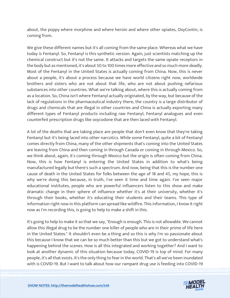about, the poppy where morphine and where heroin and where other opiates, OxyContin, is coming from.

We give these different names but it's all coming from the same place. Whereas what we have today is Fentanyl. So, Fentanyl is this synthetic version. Again, just scientists matching up the chemical construct but it's not the same. It attacks and targets the same opiate receptors in the body but as mentioned, it's about 50 to 100 times more effective and so much more deadly. Most of the Fentanyl in the United States is actually coming from China. Now, this is never about a people, it's about a process because we have world citizens right now, worldwide brothers and sisters who are not about that life, who are not about pushing nefarious substances into other countries. What we're talking about, where this is actually coming from as a location. So, China isn't where Fentanyl actually originated, by the way, but because of the lack of regulations in the pharmaceutical industry there, the country is a large distributor of drugs and chemicals that are illegal in other countries and China is actually exporting many different types of Fentanyl products including raw Fentanyl, Fentanyl analogues and even counterfeit prescription drugs like oxycodone that are then laced with Fentanyl.

A lot of the deaths that are taking place are people that don't even know that they're taking Fentanyl but it's being laced into other narcotics. While some Fentanyl, quite a bit of Fentanyl comes directly from China, many of the other shipments that's coming into the United States are leaving from China and then coming in through Canada or coming in through Mexico. So, we think about, again, it's coming through Mexico but the origin is often coming from China. Now, this is how Fentanyl is entering the United States in addition to what's being manufactured legally but there's such a spectrum. And now, being that this is the number one cause of death in the United States for folks between the age of 18 and 45, my hope, this is why we're doing this because, in truth, I've seen it time and time again. I've seen major educational institutes, people who are powerful influencers listen to this show and make dramatic change in their sphere of influence whether it's at their university, whether it's through their books, whether it's educating their students and their teams. This type of information right now in this platform can spread like wildfire. This information, I know it right now as I'm recording this, is going to help to make a shift in this.

It's going to help to make it so that we say, "Enough is enough. This is not allowable. We cannot allow this illegal drug to be the number one killer of people who are in their prime of life here in the United States." It shouldn't even be a thing and so this is why I'm so passionate about this because I know that we can be so much better than this but we got to understand what's happening behind the scenes. How is all this integrated and working together? And I want to look at another dynamic of this situation because today, COVID-19 is top of mind. For many people, it's all that exists. It's the only thing to fear in the world. That's all we've been inundated [with is COVID-19. But I want to talk about how our rampant drug use is feeding into COVID-19](https://themodelhealthshow.com/podcasts/cause-of-death-in-america/)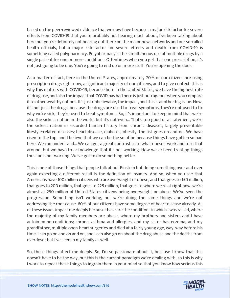based on the peer-reviewed evidence that we now have because a major risk factor for severe effects from COVID-19 that you're probably not hearing much about, I've been talking about here but you're definitely not hearing out there on the major news networks and our so-called health officials, but a major risk factor for severe effects and death from COVID-19 is something called polypharmacy. Polypharmacy is the simultaneous use of multiple drugs by a single patient for one or more conditions. Oftentimes when you get that one prescription, it's not just going to be one. You're going to end up on more stuff. You're opening the door.

As a matter of fact, here in the United States, approximately 70% of our citizens are using prescription drugs right now, a significant majority of our citizens, and to give context, this is why this matters with COVID-19, because here in the United States, we have the highest rate of drug use, and also the impact that COVID has had here is just outrageous when you compare it to other wealthy nations. It's just unbelievable, the impact, and this is another big issue. Now, it's not just the drugs, because the drugs are used to treat symptoms, they're not used to fix why we're sick, they're used to treat symptoms. So, it's important to keep in mind that we're also the sickest nation in the world, but it's not even... That's too good of a statement, we're the sickest nation in recorded human history from chronic diseases, largely preventable lifestyle-related diseases; heart disease, diabetes, obesity, the list goes on and on. We have risen to the top, and I believe that we can be the solution because things have gotten so bad here. We can understand... We can get a great contrast as to what doesn't work and turn that around, but we have to acknowledge that it's not working. How we've been treating things thus far is not working. We've got to do something better.

This is one of those things that people talk about Einstein but doing something over and over again expecting a different result is the definition of insanity. And so, when you see that Americans have 100 million citizens who are overweight or obese, and that goes to 150 million, that goes to 200 million, that goes to 225 million, that goes to where we're at right now, we're almost at 250 million of United States citizens being overweight or obese. We've seen the progression. Something isn't working, but we're doing the same things and we're not addressing the root cause. 60% of our citizens have some degree of heart disease already. All of these issues impact me deeply because these are the conditions in which I was raised, where the majority of my family members are obese, where my brothers and sisters and I have autoimmune conditions; chronic asthma and allergies, and my sister has eczema, and my grandfather, multiple open-heart surgeries and died at a fairly young age, way, way before his time. I can go on and on and on, and I can also go on about the drug abuse and the deaths from overdose that I've seen in my family as well.

So, these things affect me deeply. So, I'm so passionate about it, because I know that this doesn't have to be the way, but this is the current paradigm we're dealing with, so this is why [I work to repeat these things to ingrain them in your mind so that you know how serious this](https://themodelhealthshow.com/podcasts/cause-of-death-in-america/) 

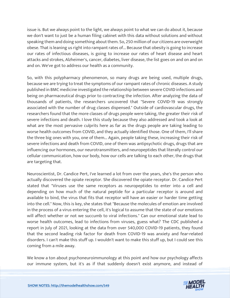issue is. But we always point to the light, we always point to what we can do about it, because we don't want to just be a human filing cabinet with this data without solutions and without speaking them and doing something about them. So, 250 million of our citizens are overweight obese. That is leaning us right into rampant rates of... Because that obesity is going to increase our rates of infectious diseases, is going to increase our rates of heart disease and heart attacks and strokes, Alzheimer's, cancer, diabetes, liver disease, the list goes on and on and on and on. We've got to address our health as a community.

So, with this polypharmacy phenomenon, so many drugs are being used, multiple drugs, because we are trying to treat the symptoms of our rampant rates of chronic diseases. A study published in BMC medicine investigated the relationship between severe COVID infections and being on pharmaceutical drugs prior to contracting the infection. After analyzing the data of thousands of patients, the researchers uncovered that "Severe COVID-19 was strongly associated with the number of drug classes dispensed." Outside of cardiovascular drugs, the researchers found that the more classes of drugs people were taking, the greater their risk of severe infections and death. I love this study because they also addressed and took a look at what are the most pervasive culprits here as far as the drugs people are taking leading to worse health outcomes from COVID, and they actually identified those. One of them, I'll share the three big ones with you, one of them... Again, people taking these, increasing their risk of severe infections and death from COVID, one of them was antipsychotic drugs, drugs that are influencing our hormones, our neurotransmitters, and neuropeptides that literally control our cellular communication, how our body, how our cells are talking to each other, the drugs that are targeting that.

Neuroscientist, Dr. Candice Pert, I've learned a lot from over the years, she's the person who actually discovered the opiate receptor. She discovered the opiate receptor. Dr. Candice Pert stated that "Viruses use the same receptors as neuropeptides to enter into a cell and depending on how much of the natural peptide for a particular receptor is around and available to bind, the virus that fits that receptor will have an easier or harder time getting into the cell." Now, this is key, she states that "Because the molecules of emotion are involved in the process of a virus entering the cell, it's logical to assume that the state of our emotions will affect whether or not we succumb to viral infections." Can our emotional state lead to worse health outcomes, lead to infections from viruses, guess what? The CDC published a report in July of 2021, looking at the data from over 540,000 COVID-19 patients, they found that the second leading risk factor for death from COVID-19 was anxiety and fear-related disorders. I can't make this stuff up. I wouldn't want to make this stuff up, but I could see this coming from a mile away.

We know a ton about psychoneuroimmunology at this point and how our psychology affects [our immune system, but it](https://themodelhealthshow.com/podcasts/cause-of-death-in-america/)'[s as if that suddenly doesn](https://themodelhealthshow.com/podcasts/cause-of-death-in-america/)'[t exist anymore, and instead of](https://themodelhealthshow.com/podcasts/cause-of-death-in-america/)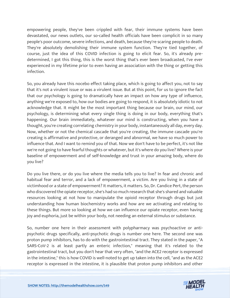empowering people, they've been crippled with fear, their immune systems have been devastated, our news outlets, our so-called health officials have been complicit in so many people's poor outcome, severe infections, and death, because they're scaring people to death. They're absolutely demolishing their immune system function. They're tied together, of course, just the idea of this COVID infection is going to elicit fear. So, it's already predetermined, I got this thing, this is the worst thing that's ever been broadcasted, I've ever experienced in my lifetime prior to even having an association with the thing or getting this infection.

So, you already have this nocebo effect taking place, which is going to affect you, not to say that it's not a virulent issue or was a virulent issue. But at this point, for us to ignore the fact that our psychology is going to dramatically have an impact on how any type of influence, anything we're exposed to, how our bodies are going to respond, it is absolutely idiotic to not acknowledge that. It might be the most important thing because our brain, our mind, our psychology, is determining what every single thing is doing in our body, everything that's happening. Our brain immediately, whatever our mind is constructing, when you have a thought, you're creating correlating chemistry in your body, instantaneously all day, every day. Now, whether or not the chemical cascade that you're creating, the immune cascade you're creating is affirmative and protective, or deranged and abnormal, we have so much power to influence that. And I want to remind you of that. Now we don't have to be perfect, it's not like we're not going to have fearful thoughts or whatever, but it's where do you live? Where is your baseline of empowerment and of self-knowledge and trust in your amazing body, where do you live?

Do you live there, or do you live where the media tells you to live? In fear and chronic and habitual fear and terror, and a lack of empowerment, a victim. Are you living in a state of victimhood or a state of empowerment? It matters, it matters. So, Dr. Candice Pert, the person who discovered the opiate receptor, she's had so much research that she's shared and valuable resources looking at not how to manipulate the opioid receptor through drugs but just understanding how human biochemistry works and how are we activating and relating to these things. But more so looking at how we can influence our opiate receptor, even having joy and euphoria, just be within your body, not needing an external stimulus or substance.

So, number one here in their assessment with polypharmacy was psychoactive or antipsychotic drugs specifically, anti-psychotic drugs is number one here. The second one was proton pump inhibitors, has to do with the gastrointestinal tract. They stated in the paper, "A SARS-CoV-2 is at least partly an enteric infection," meaning that it's related to the gastrointestinal tract, but you don't hear that very often, "and the ACE2 receptor is expressed in the intestine," this is how COVID is well-noted to get up taken into the cell, "and as the ACE2 [receptor is expressed in the intestine, it is plausible that proton pump inhibitors and other](https://themodelhealthshow.com/podcasts/cause-of-death-in-america/)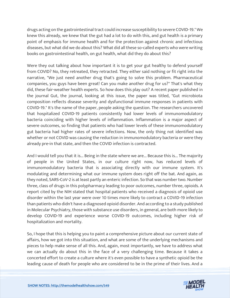drugs acting on the gastrointestinal tract could increase susceptibility to severe COVID-19." We knew this already, we knew that the gut had a lot to do with this, and gut health is a primary point of emphasis for immune health and for the protection against chronic and infectious diseases, but what did we do about this? What did all these so-called experts who were writing books on gastrointestinal health, on gut health, what did they do about this?

Were they out talking about how important it is to get your gut healthy to defend yourself from COVID? No, they retreated, they retracted. They either said nothing or fit right into the narrative, "We just need another drug that's going to solve this problem. Pharmaceutical companies, you guys have been great! Can you make another drug for us?" That's what they did, these fair-weather health experts. So how does this play out? A recent paper published in the journal Gut, the journal, looking at this issue, the paper was titled, "Gut microbiota composition reflects disease severity and dysfunctional immune responses in patients with COVID-19." It's the name of the paper, people asking the question. The researchers uncovered that hospitalized COVID-19 patients consistently had lower levels of immunomodulatory bacteria coinciding with higher levels of inflammation. Inflammation is a major aspect of severe outcomes, so finding that patients who had lower levels of these immunomodulatory gut bacteria had higher rates of severe infections. Now, the only thing not identified was whether or not COVID was causing the reduction in immunomodulatory bacteria or were they already pre-in that state, and then the COVID infection is contracted.

And I would tell you that it is... Being in the state where we are... Because this is... The majority of people in the United States, in our culture right now, has reduced levels of immunomodulatory bacteria that is associating directly with our immune system. It's modulating and determining what our immune system does right off the bat. And again, as they noted, SARS-CoV-2 is at least partly an enteric infection. So that was number two. Number three, class of drugs in this polypharmacy leading to poor outcomes, number three, opioids. A report cited by the NIH stated that hospital patients who received a diagnosis of opioid use disorder within the last year were over 10 times more likely to contract a COVID-19 infection than patients who didn't have a diagnosed opioid disorder. And according to a study published in Molecular Psychiatry, those with substance use disorders, in general, are both more likely to develop COVID-19 and experience worse COVID-19 outcomes, including higher risk of hospitalization and mortality.

So, I hope that this is helping you to paint a comprehensive picture about our current state of affairs, how we got into this situation, and what are some of the underlying mechanisms and pieces to help make sense of all this. And, again, most importantly, we have to address what we can actually do about this in the face of a very challenging time. Because it takes a concerted effort to create a culture where it's even possible to have a synthetic opioid be the [leading cause of death for people who are considered to be in the prime of their lives. And a](https://themodelhealthshow.com/podcasts/cause-of-death-in-america/)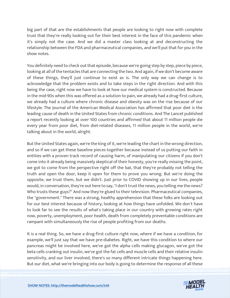big part of that are the establishments that people are looking to right now with complete trust that they're really looking out for their best interest in the face of this pandemic when it's simply not the case. And we did a master class looking at and deconstructing the relationship between the FDA and pharmaceutical companies, and we'll put that for you in the show notes.

You definitely need to check out that episode, because we're going step by step, piece by piece, looking at all of the tentacles that are connecting the two. And again, if we don't become aware of these things, they'll just continue to exist as is. The only way we can change is to acknowledge that the problem exists and to take steps in the right direction. And with this being the case, right now we have to look at how our medical system is constructed. Because in the mid-90s when this was offered as a solution to pain, we already had a drug-first culture, we already had a culture where chronic disease and obesity was on the rise because of our lifestyle. The Journal of the American Medical Association has affirmed that poor diet is the leading cause of death in the United States from chronic conditions. And The Lancet published a report recently looking at over 100 countries and affirmed that about 11 million people die every year from poor diet, from diet-related diseases, 11 million people in the world, we're talking about in the world, alright.

But the United States again, we're the king of it, we're leading the chart in the wrong direction, and so if we can get these baseline pieces together because instead of us putting our faith in entities with a proven track record of causing harm, of manipulating our citizens if you don't come into it already being massively skeptical of their honesty, you're really missing the point, we got to come from the perspective right off the bat, that they're probably not telling the truth and open the door, keep it open for them to prove you wrong. But we're doing the opposite, we trust them, but we didn't. Just prior to COVID showing up in our lives, people would, in conversation, they're out here to say, "I don't trust the news, you telling me the news? Who trusts these guys?" And now they're glued to their television. Pharmaceutical companies, the "government." There was a strong, healthy apprehension that these folks are looking out for our best interest because of history, looking at how things have unfolded. We don't have to look far to see the results of what's taking place in our country with growing rates right now, poverty, unemployment, poor health, death from completely preventable conditions are rampant with simultaneously the rise of people profiting from our deaths.

It is a real thing. So, we have a drug-first culture right now, where if we have a condition, for example, we'll just say that we have pre-diabetes. Right, we have this condition to where our pancreas might be involved here, we've got the alpha cells making glucagon, we've got the beta cells cranking out insulin, we've got the fat cells and muscle cells and their relative insulin sensitivity, and our liver involved, there's so many different intricate things happening here. [But our diet, what we](https://themodelhealthshow.com/podcasts/cause-of-death-in-america/)'[re bringing into our body is going to determine the response of all these](https://themodelhealthshow.com/podcasts/cause-of-death-in-america/)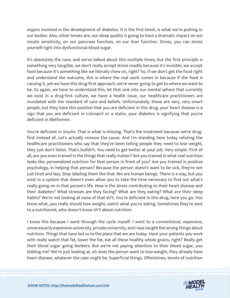organs involved in the development of diabetes. It is the first tenet, is what we're putting in our bodies. Also, other tenets are, our sleep quality is going to have a dramatic impact on our insulin sensitivity, on our pancreas function, on our liver function. Stress, you can stress yourself right into dysfunctional blood sugar.

It's absolutely the case, and we've talked about this multiple times, but the first principle is something very tangible, we don't really accept stress readily because it's invisible, we accept food because it's something like we literally chew on, right? So, if we don't get the food right and understand the outcome, this is where the real work comes in because if the food is causing it, yet we have this drug-first approach, we're never going to get to where we want to be. So again, we have to understand this, let that sink into our mental sphere that currently we exist in a drug-first culture, we have a health issue, our healthcare practitioners are inundated with the standard of care and beliefs. Unfortunately, these are very, very smart people, but they have this position that you are deficient in this drug, your heart disease is a sign that you are deficient in Lisinopril or a statin, your diabetes is signifying that you're deficient in Metformin.

You're deficient in insulin. That is what is missing. That's the treatment because we're drugfirst instead of, Let's actually remove the cause. And I'm standing here today refuting the healthcare practitioners who say that they've been telling people they need to lose weight, they just don't listen. That's bullsh\*t. You need to get better at your job. Very simple. First of all, are you even trained in the things that really matter? Are you trained in what real nutrition looks like, personalized nutrition for that person in front of you? Are you trained in positive psychology, in helping that person? Because the person doesn't want to be sick, they're not just tired and lazy. Stop labeling them like that. We are human beings. There is a way, but you exist in a system that doesn't even allow you to take the time necessary to find out what's really going on in that person's life. How is the stress contributing to their heart disease and their diabetes? What stresses are they facing? What are they eating? What are their sleep habits? We're not looking at none of that sh\*t. You're deficient in this drug, here you go. You know what, you really should lose weight, watch what you're eating. Sometimes they're sent to a nutritionist, who doesn't know sh\*t about nutrition.

I know this because I went through the cycle myself. I went to a conventional, expensive, unnecessarily expensive university, private university, and I was taught the wrong things about nutrition. Things that have led us to the place that we are today. Have your patients you work with really watch that fat, lower the fat, eat all these healthy whole grains, right? Really get their blood sugar going bonkers. But we're not paying attention to their blood sugar, you kidding me? We're just looking at, oh does the person want to lose weight, they already have heart disease, whatever the case might be. Superficial things. Oftentimes, tenets of nutrition

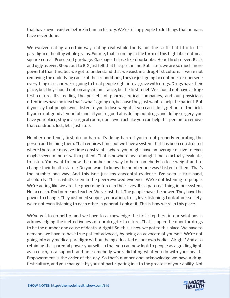that have never existed before in human history. We're telling people to do things that humans have never done.

We evolved eating a certain way, eating real whole foods, not the stuff that fit into this paradigm of healthy whole grains. For me, that's coming in the form of this high fiber oatmeal square cereal. Processed gar-bage. Gar-bage, I close like doorknobs. Heartthrob never, Black and ugly as ever. Shout out to BIG Just felt that his spirit in me. But listen, we are so much more powerful than this, but we got to understand that we exist in a drug-first culture. If we're not removing the underlying cause of these conditions, they're just going to continue to supersede everything else, and we're going to treat people right into a grave with drugs. Drugs have their place, but they should not, on any circumstance, be the first tenet. We should not have a drugfirst culture. It's feeding the pockets of pharmaceutical companies, and our physicians oftentimes have no idea that's what's going on, because they just want to help the patient. But if you say that people won't listen to you to lose weight, if you can't do it, get out of the field. If you're not good at your job and all you're good at is doling out drugs and doing surgery, you have your place, stay in a surgical room, don't even act like you can help this person to remove that condition. Just, let's just stop.

Number one tenet, first, do no harm. It's doing harm if you're not properly educating the person and helping them. That requires time, but we have a system that has been constructed where there are massive time constraints, where you might have an average of five to even maybe seven minutes with a patient. That is nowhere near enough time to actually evaluate, to listen. You want to know the number one way to help somebody to lose weight and to change their health status? Do you want to know the number one way? Listen to them. That's the number one way. And this isn't just my anecdotal evidence. I've seen it first-hand, absolutely. This is what's seen in the peer-reviewed evidence. We're not listening to people. We're acting like we are the governing force in their lives. It's a paternal thing in our system. Not a coach. Doctor means teacher. We've lost that. The people have the power. They have the power to change. They just need support, education, trust, love, listening. Look at our society, we're not even listening to each other in general. Look at it. This is how we're in this place.

We've got to do better, and we have to acknowledge the first step here in our solutions is acknowledging the ineffectiveness of our drug-first culture. That is, open the door for drugs to be the number one cause of death. Alright? So, this is how we got to this place. We have to demand; we have to have true patient advocacy by being an advocate of yourself. We're not going into any medical paradigm without being educated on our own bodies. Alright? And also retaining that parental power yourself, so that you can now look to people as a guiding light, as a coach, as a support, and not somebody who's dictating what you do with your health. Empowerment is the order of the day. So that's number one, acknowledge we have a drug[first culture, and you change it by you not participating in it to the greatest of your ability. Not](https://themodelhealthshow.com/podcasts/cause-of-death-in-america/)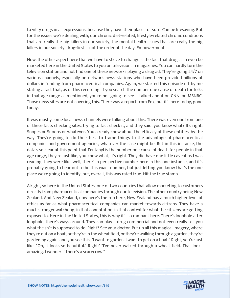to vilify drugs in all expressions, because they have their place, for sure. Can be lifesaving. But for the issues we're dealing with, our chronic diet-related, lifestyle-related chronic conditions that are really the big killers in our society, the mental health issues that are really the big killers in our society, drug-first is not the order of the day. Empowerment is.

Now, the other aspect here that we have to strive to change is the fact that drugs can even be marketed here in the United States to you on television, in magazines. You can hardly turn the television station and not find one of these networks playing a drug ad. They're going 24/7 on various channels, especially on network news stations who have been provided billions of dollars in funding from pharmaceutical companies. Again, we started this episode off by me stating a fact that, as of this recording, if you search the number one cause of death for folks in that age range as mentioned, you're not going to see it talked about on CNN, on MSNBC. Those news sites are not covering this. There was a report from Fox, but it's here today, gone today.

It was mostly some local news channels were talking about this. There was even one from one of these facts checking sites, trying to fact check it, and they said, you know what? It's right. Snopes or Snoops or whatever. You already know about the efficacy of these entities, by the way. They're going to do their best to frame things to the advantage of pharmaceutical companies and government agencies, whatever the case might be. But in this instance, the data's so clear at this point that Fentanyl is the number one cause of death for people in that age range, they're just like, you know what, it's right. They did have one little caveat as I was reading, they were like, well, there's a perspective number here in this one instance, and it's probably going to bear out to be this exact number, but just letting you know that's the one place we're going to identify, but, overall, this was rated true. Hit the true stamp.

Alright, so here in the United States, one of two countries that allow marketing to customers directly from pharmaceutical companies through our television. The other country being New Zealand. And New Zealand, now here's the rub here, New Zealand has a much higher level of ethics as far as what pharmaceutical companies can market towards citizens. They have a much stronger watchdog, in that connotation, in that context for what the citizens are getting exposed to. Here in the United States, this is why it's so rampant here. There's loophole after loophole, there's ways around. They can play a drug commercial and not even really tell you what the sh\*t is supposed to do. Right? See your doctor. Put up all this magical imagery, where they're out on a boat, or they're in the wheat field, or they're walking through a garden, they're gardening again, and you see this, "I want to garden. I want to get on a boat." Right, you're just like, "Oh, it looks so beautiful." Right? "I've never walked through a wheat field. That looks amazing. I wonder if there's a scarecrow."

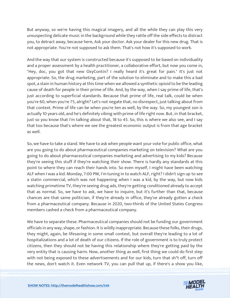But anyway, so we're having this magical imagery, and all the while they can play this very unsuspecting delicate music in the background while they rattle off the side effects to distract you, to detract away, because here, Ask your doctor. Ask your dealer for this new drug. That is not appropriate. You're not supposed to ask them. That's not how it's supposed to work.

And the way that our system is constructed because it's supposed to be based on individuality and a proper assessment by a health practitioner, a collaborative effort, but now you come in, "Hey, doc, you got that new OxyContin? I really heard it's great for pain." It's just not appropriate. So, the drug marketing, part of the solution to eliminate and to make this a bad spot, a stain in human history at this time when we allowed a synthetic opioid to be the leading cause of death for people in their prime of life. And, by the way, when I say prime of life, that's just according to superficial standards. Because that prime of life, real talk, could be when you're 60, when you're 75, alright? Let's not negate that, no disrespect, just talking about from that context. Prime of life can be when you're ten as well, by the way. So, my youngest son is actually 10 years old, and he's definitely vibing with prime of life right now. But, in that bracket, just so you know that I'm talking about that, 18 to 45. So, this is where we also see, and I say that too because that's where we see the greatest economic output is from that age bracket as well.

So, we have to take a stand. We have to ask when people want your vote for public office, what are you going to do about pharmaceutical companies marketing on television? What are you going to do about pharmaceutical companies marketing and advertising to my kids? Because they're seeing this stuff if they're watching their show. There is hardly any standards at this point to where they can reach their hands into. So even myself, I might have been watching ALF when I was a kid. Monday, 7:00 PM, I'm tuning in to watch ALF, right? I didn't sign up to see a statin commercial, which was not happening when I was a kid, by the way, but now kids watching primetime TV, they're seeing drug ads, they're getting conditioned already to accept that as normal. So, we have to ask, we have to inquire, but it's further than that, because chances are that same politician, if they're already in office, they've already gotten a check from a pharmaceutical company. Because in 2020, two-thirds of the United States Congress members cashed a check from a pharmaceutical company.

We have to separate these. Pharmaceutical companies should not be funding our government officials in any way, shape, or fashion. It is wildly inappropriate. Because these folks, their drugs, they might, again, be lifesaving in some small context, but overall they're leading to a lot of hospitalizations and a lot of death of our citizens. If the role of government is to truly protect citizens, then they should not be having this relationship where they're getting paid by the very entity that is causing harm. Now, another thing as well, first thing we could do first step with not being exposed to these advertisements and for our kids, turn that sh<sup>\*</sup>t off, turn off [the news, don](https://themodelhealthshow.com/podcasts/cause-of-death-in-america/)'[t watch it. Even network TV, you can pull that up, if there](https://themodelhealthshow.com/podcasts/cause-of-death-in-america/)'[s a show you like,](https://themodelhealthshow.com/podcasts/cause-of-death-in-america/)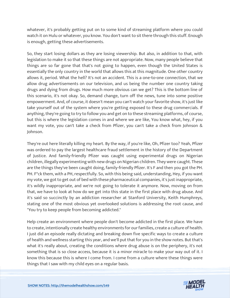whatever, it's probably getting put on to some kind of streaming platform where you could watch it on Hulu or whatever, you know. You don't want to sit there through this stuff. Enough is enough, getting these advertisements.

So, they start losing dollars as they are losing viewership. But also, in addition to that, with legislation to make it so that these things are not appropriate. Now, many people believe that things are so far gone that that's not going to happen, even though the United States is essentially the only country in the world that allows this at this magnitude. One other country allows it, period. What the hell? It's not an accident. This is a one-to-one connection, that we allow drug advertisements on our television, and us being the number one country taking drugs and dying from drugs. How much more obvious can we get? This is the bottom line of this scenario, it's not okay. So, demand change, turn off the news, tune into some positive empowerment. And, of course, it doesn't mean you can't watch your favorite show, it's just like take yourself out of the system where you're getting exposed to these drug commercials. If anything, they're going to try to follow you and get on to these streaming platforms, of course, but this is where the legislation comes in and where we are like, You know what, hey, if you want my vote, you can't take a check from Pfizer, you can't take a check from Johnson & Johnson.

They're out here literally killing my heart. By the way, if you're like, Oh, Pfizer too? Yeah, Pfizer was ordered to pay the largest healthcare fraud settlement in the history of the Department of Justice. And family-friendly Pfizer was caught using experimental drugs on Nigerian children, illegally experimenting with new drugs on Nigerian children. They were caught. These are the things they've been caught doing, family-friendly Pfizer. It's F and then you got the PH. PH. F\*ck them, with a PH, respectfully. So, with this being said, understanding, Hey, if you want my vote, we got to get out of bed with these pharmaceutical companies, it's just inappropriate, it's wildly inappropriate, and we're not going to tolerate it anymore. Now, moving on from that, we have to look at how do we get into this state in the first place with drug abuse. And it's said so succinctly by an addiction researcher at Stanford University, Keith Humphreys, stating one of the most obvious yet overlooked solutions is addressing the root cause, and "You try to keep people from becoming addicted."

Help create an environment where people don't become addicted in the first place. We have to create, intentionally create healthy environments for our families, create a culture of health. I just did an episode really dictating and breaking down five specific ways to create a culture of health and wellness starting this year, and we'll put that for you in the show notes. But that's what it's really about, creating the conditions where drug abuse is on the periphery, it's not something that is so close access, because it is a minor miracle to make your way out of it. I know this because this is where I come from. I come from a culture where these things were [things that I saw with my child eyes on a regular basis.](https://themodelhealthshow.com/podcasts/cause-of-death-in-america/)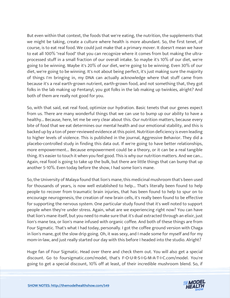But even within that context, the foods that we're eating, the nutrition, the supplements that we might be taking, create a culture where health is more abundant. So, the first tenet, of course, is to eat real food. We could just make that a primary mover. It doesn't mean we have to eat all 100% "real food" that you can recognize where it comes from but making the ultraprocessed stuff in a small fraction of our overall intake. So maybe it's 10% of our diet, we're going to be winning. Maybe it's 20% of our diet, we're going to be winning. Even 30% of our diet, we're going to be winning. It's not about being perfect, it's just making sure the majority of things I'm bringing in, my DNA can actually acknowledge where that stuff came from because it's a real earth-grown nutrient, earth-grown food, and not something that, they got folks in the lab making up Fentanyl, you got folks in the lab making up twinkies, alright? And both of them are really not good for you.

So, with that said, eat real food, optimize our hydration. Basic tenets that our genes expect from us. There are many wonderful things that we can use to bump up our ability to have a healthy... Because, here, let me be very clear about this. Our nutrition matters, because every bite of food that we eat determines our mental health and our emotional stability, and this is backed up by a ton of peer-reviewed evidence at this point. Nutrition deficiency is even leading to higher levels of violence. This is published in the journal, Aggressive Behavior. They did a placebo-controlled study in finding this data out. If we're going to have better relationships, more empowerment... Because empowerment could be a theory, or it can be a real tangible thing. It's easier to touch it when you feel good. This is why our nutrition matters. And we can... Again, real food is going to take up the bulk, but there are little things that can bump that up another 5-10%. Even today before the show, I had some lion's mane.

So, the University of Malaya found that lion's mane, this medicinal mushroom that's been used for thousands of years, is now well established to help... That's literally been found to help people to recover from traumatic brain injuries, that has been found to help to spur on to encourage neurogenesis, the creation of new brain cells, it's really been found to be effective for supporting the nervous system. One particular study found that it's well noted to support people when they're under stress. Again, what are we experiencing right now? You can have that lion's mane itself, but you need to make sure that it's dual extracted through an elixir, just lion's mane tea, or lion's mane infused with organic coffee. And both of these things are from Four Sigmatic. That's what I had today, personally. I got the coffee ground version with Chaga in lion's mane, got the slow drip going. Oh, it was sexy, and I made some for myself and for my mom-in-law, and just really started our day with this before I headed into the studio. Alright?

Huge fan of Four Sigmatic. Head over there and check them out. You will also get a special discount. Go to foursigmatic.com/model, that's F-O-U-R-S-I-G-M-A-T-I-C.com/model. You're [going to get a special discount, 10% off at least, of their incredible mushroom blend. So, if](https://themodelhealthshow.com/podcasts/cause-of-death-in-america/)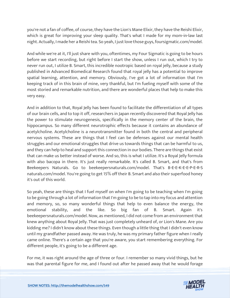you're not a fan of coffee, of course, they have the Lion's Mane Elixir, they have the Reishi Elixir, which is great for improving your sleep quality. That's what I made for my mom-in-law last night. Actually, I made her a Reishi tea. So yeah, I just love those guys, foursigmatic.com/model.

And while we're at it, I'll just share with you, oftentimes, my Four Sigmatic is going to be hours before we start recording, but right before I start the show, unless I run out, which I try to never run out, I utilize B. Smart, this incredible nootropic based on royal jelly, because a study published in Advanced Biomedical Research found that royal jelly has a potential to improve spatial learning, attention, and memory. Obviously, I've got a lot of information that I'm keeping track of in this brain of mine, very thankful, but I'm fueling myself with some of the most storied and remarkable nutrition, and there are wonderful places that help to make this very easy.

And in addition to that, Royal Jelly has been found to facilitate the differentiation of all types of our brain cells, and to top it off, researchers in Japan recently discovered that Royal Jelly has the power to stimulate neurogenesis, specifically in the memory center of the brain, the hippocampus. So many different neurotrophic effects because it contains an abundance of acetylcholine. Acetylcholine is a neurotransmitter found in both the central and peripheral nervous systems. These are things that I feel can be defenses against our mental health struggles and our emotional struggles that drive us towards things that can be harmful to us, and they can help to heal and support this connection in our bodies. There are things that exist that can make us better instead of worse. And so, this is what I utilize. It's a Royal Jelly formula with also bacopa in there. It's just really remarkable. It's called B. Smart, and that's from Beekeepers Naturals. Go to beekeepersnaturals.com/model. That's B-E-E-K-E-E-P-E-R-S naturals.com/model. You're going to get 15% off their B. Smart and also their superfood honey it's out of this world.

So yeah, these are things that I fuel myself on when I'm going to be teaching when I'm going to be going through a lot of information that I'm going to be to tap into my focus and attention and memory, so, so many wonderful things that help to even balance the energy, the emotional stability, and the like. So big fan of B. Smart. Again it's beekeepersnaturals.com/model. Now, as mentioned, I did not come from an environment that knew anything about Royal Jelly. That was just completely unheard of, or Lion's Mane. Are you kidding me? I didn't know about these things. Even though a little thing that I didn't even know until my grandfather passed away. He was truly, he was my primary father figure when I really came online. There's a certain age that you're aware, you start remembering everything. For different people, it's going to be a different age.

For me, it was right around the age of three or four. I remember so many vivid things, but he [was that parental figure for me, and I found out after he passed away that he](https://themodelhealthshow.com/podcasts/cause-of-death-in-america/) would forage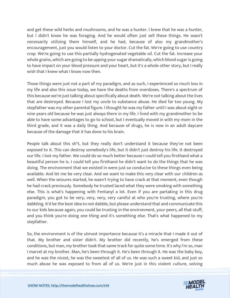and get these wild herbs and mushrooms, and he was a hunter. I knew that he was a hunter, but I didn't know he was foraging. And he would often just sell these things. He wasn't necessarily utilizing them himself, and he had, because of also my grandmother's encouragement, just you would listen to your doctor. Cut the fat. We're going to use country crop. We're going to use this partially hydrogenated vegetable oil. Cut the fat. Increase your whole grains, which are going to be upping your sugar dramatically, which blood sugar is going to have impact on your blood pressure and your heart, but it's a whole other story, but I really wish that I knew what I know now then.

Those things were just not a part of my paradigm, and as such, I experienced so much loss in my life and also this issue today, we have the deaths from overdoses. There's a spectrum of this because we're just talking about specifically about death. We're not talking about the lives that are destroyed. Because I lost my uncle to substance abuse. He died far too young. My stepfather was my other parental figure. I thought he was my father until I was about eight or nine years old because he was just always there in my life. I lived with my grandmother to be able to have some advantages to go to school, but I eventually moved in with my mom in the third grade, and it was a daily thing. And because of drugs, he is now in an adult daycare because of the damage that it has done to his brain.

People talk about this sh\*t, but they really don't understand it because they've not been exposed to it. This can destroy somebody's life, but it didn't just destroy his life. It destroyed our life. I lost my father. We could do so much better because I could tell you firsthand what a beautiful person he is. I could tell you firsthand he didn't want to do the things that he was doing. The environment that we existed in were just so conducive to these things even being available. And let me be very clear. And we want to make this very clear with our children as well. When the seizures started, he wasn't trying to have crack at that moment, even though he had crack previously. Somebody he trusted laced what they were smoking with something else. This is what's happening with Fentanyl a lot. Even if you are partaking in this drug paradigm, you got to be very, very, very, very careful at who you're trusting, where you're dabbling. It'd be the best idea to not dabble, but please understand that and communicate this to our kids because again, you could be trusting in the environment, your peers, all that stuff, and you think you're doing one thing and it's something else. That's what happened to my stepfather.

So, the environment is of the utmost importance because it's a miracle that I made it out of that. My brother and sister didn't. My brother did recently, he's emerged from these conditions, but man, my brother took that same track for quite some time. It's why I'm so, man I marvel at my brother. Man, he's been through it. He's been through it. He was the baby boy, and he was the nicest, he was the sweetest of all of us. He was such a sweet kid, and just so [much abuse he was exposed to from all of us. We](https://themodelhealthshow.com/podcasts/cause-of-death-in-america/)'[re just in this violent culture, solving](https://themodelhealthshow.com/podcasts/cause-of-death-in-america/)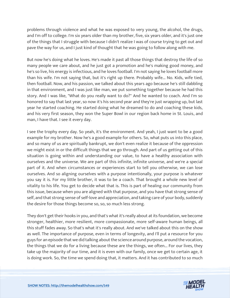problems through violence and what he was exposed to very young, the alcohol, the drugs, and I'm off to college. I'm six years older than my brother, five, six years older, and it's just one of the things that I struggle with because I didn't realize I was of course trying to get out and pave the way for us, and I just kind of thought that he was going to follow along with me.

But now he's doing what he loves. He's made it past all those things that destroy the life of so many people we care about, and he just got a promotion and he's making good money, and he's so live, his energy is infectious, and he loves football. I'm not saying he loves football more than his wife. I'm not saying that, but it's right up there. Probably wife... No. Kids, wife tied, then football. Now, and his passion, we talked about this years ago because he's still dabbling in that environment, and I was just like man, we put something together because he had this story. And I was like, "What do you really want to do?" And he wanted to coach. And I'm so honored to say that last year, so now it's his second year and they're just wrapping up, but last year he started coaching. He started doing what he dreamed to do and coaching these kids, and his very first season, they won the Super Bowl in our region back home in St. Louis, and man, I have that. I see it every day.

I see the trophy every day. So yeah, it's the environment. And yeah, I just want to be a good example for my brother. Now he's a good example for others. So, what puts us into this place, and so many of us are spiritually bankrupt, we don't even realize it because of the oppression we might exist in or the difficult things that we go through. And part of us getting out of this situation is going within and understanding our value, to have a healthy association with ourselves and the universe. We are part of this infinite, infinite universe, and we're a special part of it. And when circumstances or experiences start to tell you otherwise, we can lose ourselves. And so aligning ourselves with a purpose intentionally, your purpose is whatever you say it is. For my little brother, it was to be a coach. That brought a whole new level of vitality to his life. You get to decide what that is. This is part of healing our community from this issue, because when you are aligned with that purpose, and you have that strong sense of self, and that strong sense of self-love and appreciation, and taking care of your body, suddenly the desire for those things become so, so, so much less strong.

They don't get their hooks in you, and that's what it's really about at its foundation, we become stronger, healthier, more resilient, more compassionate, more self-aware human beings, all this stuff fades away. So that's what it's really about. And we've talked about this on the show as well. The importance of purpose, even in terms of longevity, and I'll put a resource for you guys for an episode that we did talking about the science around purpose, around the vocation, the things that we do for a living because these are the things, we often... For our lives, they take up the majority of our time, and it is even with our family, once we get to certain age, it is doing work. So, the time we spend doing that, it matters. And it has contributed to so much

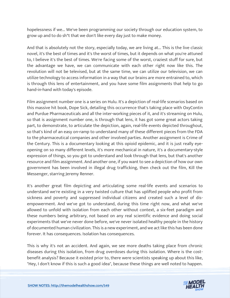hopelessness if we... We've been programming our society through our education system, to grow up and to do sh\*t that we don't like every day just to make money.

And that is absolutely not the story, especially today, we are living at... This is the live classic novel, it's the best of times and it's the worst of times, but it depends on what you're attuned to, I believe it's the best of times. We're facing some of the worst, craziest stuff for sure, but the advantage we have, we can communicate with each other right now like this. The revolution will not be televised, but at the same time, we can utilize our television, we can utilize technology to access information in a way that our brains are more entrained to, which is through this lens of entertainment, and you have some film assignments that help to go hand-in-hand with today's episode.

Film assignment number one is a series on Hulu. It's a depiction of real-life scenarios based on this massive hit book, Dope Sick, detailing this occurrence that's taking place with OxyContin and Purdue Pharmaceuticals and all the inter-working pieces of it, and it's streaming on Hulu, so that is assignment number one, is through that lens, it has got some great actors taking part, to demonstrate, to articulate the depiction, again, real-life events depicted throughout, so that's kind of an easy on-ramp to understand many of these different pieces from the FDA to the pharmaceutical companies and other involved parties. Another assignment is Crime of the Century. This is a documentary looking at this opioid epidemic, and it is just really eyeopening on so many different levels, it's more mechanical in nature, it's a documentary-style expression of things, so you got to understand and look through that lens, but that's another resource and film assignment. And another one, if you want to see a depiction of how our own government has been involved in illegal drug trafficking, then check out the film, Kill the Messenger, starring Jeremy Renner.

It's another great film depicting and articulating some real-life events and scenarios to understand we're existing in a very twisted culture that has uplifted people who profit from sickness and poverty and suppressed individual citizens and created such a level of disempowerment. And we've got to understand, during this time right now, and what we've allowed to unfold with isolation from each other without context, a six-feet paradigm and these numbers being arbitrary, not based on any real scientific evidence and doing social experiments that we've never done before, we've never isolated healthy people in the history of documented human civilization. This is a new experiment, and we act like this has been done forever. It has consequences. Isolation has consequences.

This is why it's not an accident. And again, we see more deaths taking place from chronic diseases during this isolation, from drug overdoses during this isolation. Where is the costbenefit analysis? Because it existed prior to, there were scientists speaking up about this like, ["Hey, I don](https://themodelhealthshow.com/podcasts/cause-of-death-in-america/)'[t know if this is such a good idea", because these things are well noted to happen.](https://themodelhealthshow.com/podcasts/cause-of-death-in-america/)